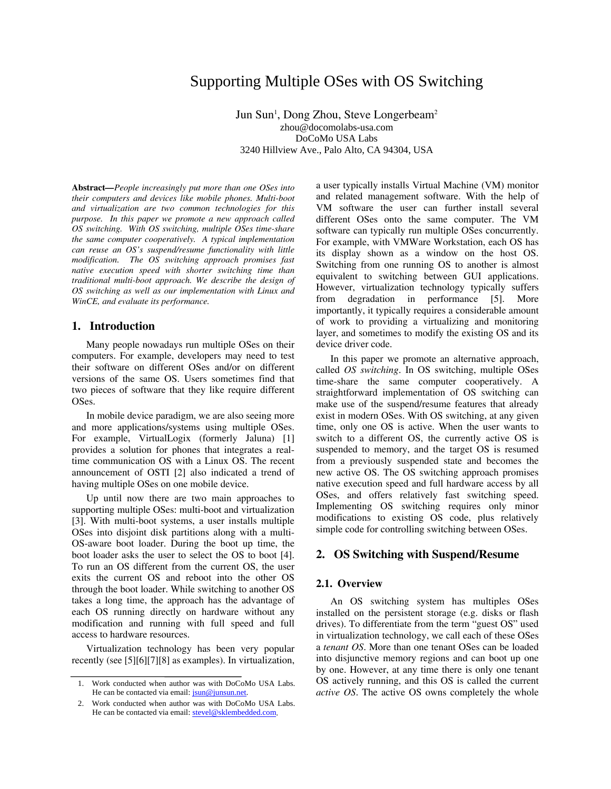# Supporting Multiple OSes with OS Switching

Jun Sun<sup>1</sup>, Dong Zhou, Steve Longerbeam<sup>2</sup> zhou@docomolabs-usa.com DoCoMo USA Labs 3240 Hillview Ave., Palo Alto, CA 94304, USA

**Abstract***—People increasingly put more than one OSes into their computers and devices like mobile phones. Multi-boot and virtualization are two common technologies for this purpose. In this paper we promote a new approach called OS switching. With OS switching, multiple OSes time-share the same computer cooperatively. A typical implementation can reuse an OS's suspend/resume functionality with little modification. The OS switching approach promises fast native execution speed with shorter switching time than traditional multi-boot approach. We describe the design of OS switching as well as our implementation with Linux and WinCE, and evaluate its performance.*

# **1. Introduction**

Many people nowadays run multiple OSes on their computers. For example, developers may need to test their software on different OSes and/or on different versions of the same OS. Users sometimes find that two pieces of software that they like require different OSes.

In mobile device paradigm, we are also seeing more and more applications/systems using multiple OSes. For example, VirtualLogix (formerly Jaluna) [1] provides a solution for phones that integrates a realtime communication OS with a Linux OS. The recent announcement of OSTI [2] also indicated a trend of having multiple OSes on one mobile device.

Up until now there are two main approaches to supporting multiple OSes: multi-boot and virtualization [3]. With multi-boot systems, a user installs multiple OSes into disjoint disk partitions along with a multi-OS-aware boot loader. During the boot up time, the boot loader asks the user to select the OS to boot [4]. To run an OS different from the current OS, the user exits the current OS and reboot into the other OS through the boot loader. While switching to another OS takes a long time, the approach has the advantage of each OS running directly on hardware without any modification and running with full speed and full access to hardware resources.

Virtualization technology has been very popular recently (see [5][6][7][8] as examples). In virtualization, a user typically installs Virtual Machine (VM) monitor and related management software. With the help of VM software the user can further install several different OSes onto the same computer. The VM software can typically run multiple OSes concurrently. For example, with VMWare Workstation, each OS has its display shown as a window on the host OS. Switching from one running OS to another is almost equivalent to switching between GUI applications. However, virtualization technology typically suffers from degradation in performance [5]. More importantly, it typically requires a considerable amount of work to providing a virtualizing and monitoring layer, and sometimes to modify the existing OS and its device driver code.

In this paper we promote an alternative approach, called *OS switching*. In OS switching, multiple OSes time-share the same computer cooperatively. A straightforward implementation of OS switching can make use of the suspend/resume features that already exist in modern OSes. With OS switching, at any given time, only one OS is active. When the user wants to switch to a different OS, the currently active OS is suspended to memory, and the target OS is resumed from a previously suspended state and becomes the new active OS. The OS switching approach promises native execution speed and full hardware access by all OSes, and offers relatively fast switching speed. Implementing OS switching requires only minor modifications to existing OS code, plus relatively simple code for controlling switching between OSes.

# **2. OS Switching with Suspend/Resume**

### **2.1. Overview**

An OS switching system has multiples OSes installed on the persistent storage (e.g. disks or flash drives). To differentiate from the term "guest OS" used in virtualization technology, we call each of these OSes a *tenant OS*. More than one tenant OSes can be loaded into disjunctive memory regions and can boot up one by one. However, at any time there is only one tenant OS actively running, and this OS is called the current *active OS*. The active OS owns completely the whole

<sup>1.</sup> Work conducted when author was with DoCoMo USA Labs. He can be contacted via email:  $\frac{i \sin \omega}{\sin \omega}$  insun.net.

<sup>2.</sup> Work conducted when author was with DoCoMo USA Labs. He can be contacted via email: stevel@sklembedded.com.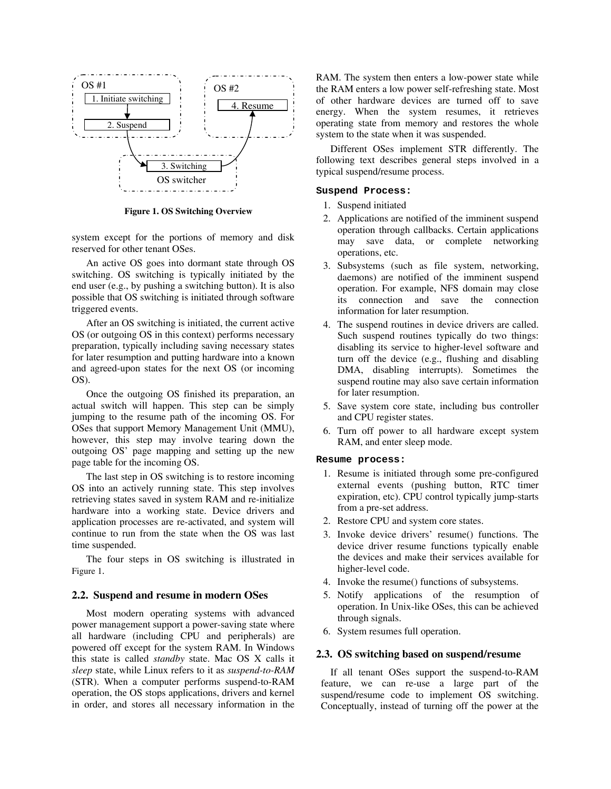

**Figure 1. OS Switching Overview** 

system except for the portions of memory and disk reserved for other tenant OSes.

An active OS goes into dormant state through OS switching. OS switching is typically initiated by the end user (e.g., by pushing a switching button). It is also possible that OS switching is initiated through software triggered events.

After an OS switching is initiated, the current active OS (or outgoing OS in this context) performs necessary preparation, typically including saving necessary states for later resumption and putting hardware into a known and agreed-upon states for the next OS (or incoming OS).

Once the outgoing OS finished its preparation, an actual switch will happen. This step can be simply jumping to the resume path of the incoming OS. For OSes that support Memory Management Unit (MMU), however, this step may involve tearing down the outgoing OS' page mapping and setting up the new page table for the incoming OS.

The last step in OS switching is to restore incoming OS into an actively running state. This step involves retrieving states saved in system RAM and re-initialize hardware into a working state. Device drivers and application processes are re-activated, and system will continue to run from the state when the OS was last time suspended.

The four steps in OS switching is illustrated in Figure 1.

#### **2.2. Suspend and resume in modern OSes**

Most modern operating systems with advanced power management support a power-saving state where all hardware (including CPU and peripherals) are powered off except for the system RAM. In Windows this state is called *standby* state. Mac OS X calls it *sleep* state, while Linux refers to it as *suspend-to-RAM*  (STR). When a computer performs suspend-to-RAM operation, the OS stops applications, drivers and kernel in order, and stores all necessary information in the

RAM. The system then enters a low-power state while the RAM enters a low power self-refreshing state. Most of other hardware devices are turned off to save energy. When the system resumes, it retrieves operating state from memory and restores the whole system to the state when it was suspended.

Different OSes implement STR differently. The following text describes general steps involved in a typical suspend/resume process.

#### **Suspend Process:**

- 1. Suspend initiated
- 2. Applications are notified of the imminent suspend operation through callbacks. Certain applications may save data, or complete networking operations, etc.
- 3. Subsystems (such as file system, networking, daemons) are notified of the imminent suspend operation. For example, NFS domain may close its connection and save the connection information for later resumption.
- 4. The suspend routines in device drivers are called. Such suspend routines typically do two things: disabling its service to higher-level software and turn off the device (e.g., flushing and disabling DMA, disabling interrupts). Sometimes the suspend routine may also save certain information for later resumption.
- 5. Save system core state, including bus controller and CPU register states.
- 6. Turn off power to all hardware except system RAM, and enter sleep mode.

#### **Resume process:**

- 1. Resume is initiated through some pre-configured external events (pushing button, RTC timer expiration, etc). CPU control typically jump-starts from a pre-set address.
- 2. Restore CPU and system core states.
- 3. Invoke device drivers' resume() functions. The device driver resume functions typically enable the devices and make their services available for higher-level code.
- 4. Invoke the resume() functions of subsystems.
- 5. Notify applications of the resumption of operation. In Unix-like OSes, this can be achieved through signals.
- 6. System resumes full operation.

#### **2.3. OS switching based on suspend/resume**

If all tenant OSes support the suspend-to-RAM feature, we can re-use a large part of the suspend/resume code to implement OS switching. Conceptually, instead of turning off the power at the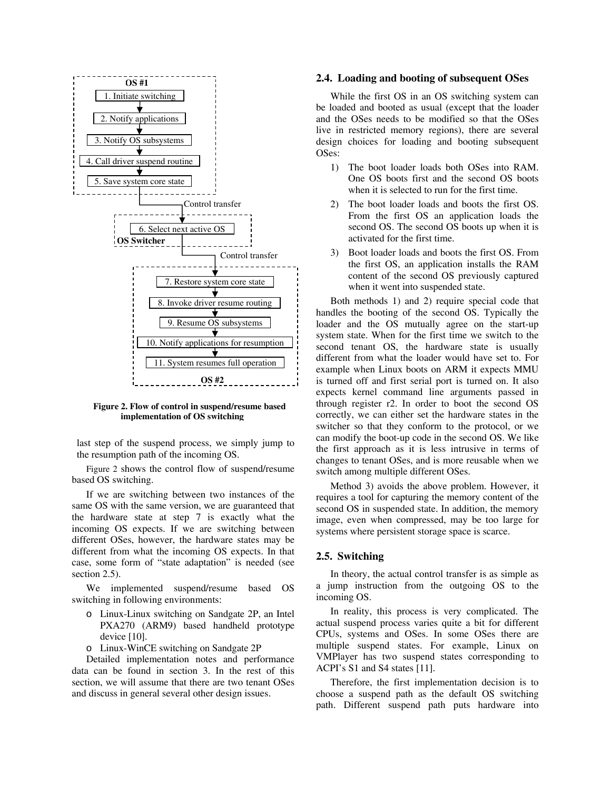

**Figure 2. Flow of control in suspend/resume based implementation of OS switching**

last step of the suspend process, we simply jump to the resumption path of the incoming OS.

Figure 2 shows the control flow of suspend/resume based OS switching.

If we are switching between two instances of the same OS with the same version, we are guaranteed that the hardware state at step 7 is exactly what the incoming OS expects. If we are switching between different OSes, however, the hardware states may be different from what the incoming OS expects. In that case, some form of "state adaptation" is needed (see section 2.5).

We implemented suspend/resume based OS switching in following environments:

- o Linux-Linux switching on Sandgate 2P, an Intel PXA270 (ARM9) based handheld prototype device [10].
- o Linux-WinCE switching on Sandgate 2P

Detailed implementation notes and performance data can be found in section 3. In the rest of this section, we will assume that there are two tenant OSes and discuss in general several other design issues.

#### **2.4. Loading and booting of subsequent OSes**

While the first OS in an OS switching system can be loaded and booted as usual (except that the loader and the OSes needs to be modified so that the OSes live in restricted memory regions), there are several design choices for loading and booting subsequent OSes:

- 1) The boot loader loads both OSes into RAM. One OS boots first and the second OS boots when it is selected to run for the first time.
- 2) The boot loader loads and boots the first OS. From the first OS an application loads the second OS. The second OS boots up when it is activated for the first time.
- 3) Boot loader loads and boots the first OS. From the first OS, an application installs the RAM content of the second OS previously captured when it went into suspended state.

Both methods 1) and 2) require special code that handles the booting of the second OS. Typically the loader and the OS mutually agree on the start-up system state. When for the first time we switch to the second tenant OS, the hardware state is usually different from what the loader would have set to. For example when Linux boots on ARM it expects MMU is turned off and first serial port is turned on. It also expects kernel command line arguments passed in through register r2. In order to boot the second OS correctly, we can either set the hardware states in the switcher so that they conform to the protocol, or we can modify the boot-up code in the second OS. We like the first approach as it is less intrusive in terms of changes to tenant OSes, and is more reusable when we switch among multiple different OSes.

Method 3) avoids the above problem. However, it requires a tool for capturing the memory content of the second OS in suspended state. In addition, the memory image, even when compressed, may be too large for systems where persistent storage space is scarce.

# **2.5. Switching**

In theory, the actual control transfer is as simple as a jump instruction from the outgoing OS to the incoming OS.

In reality, this process is very complicated. The actual suspend process varies quite a bit for different CPUs, systems and OSes. In some OSes there are multiple suspend states. For example, Linux on VMPlayer has two suspend states corresponding to ACPI's S1 and S4 states [11].

Therefore, the first implementation decision is to choose a suspend path as the default OS switching path. Different suspend path puts hardware into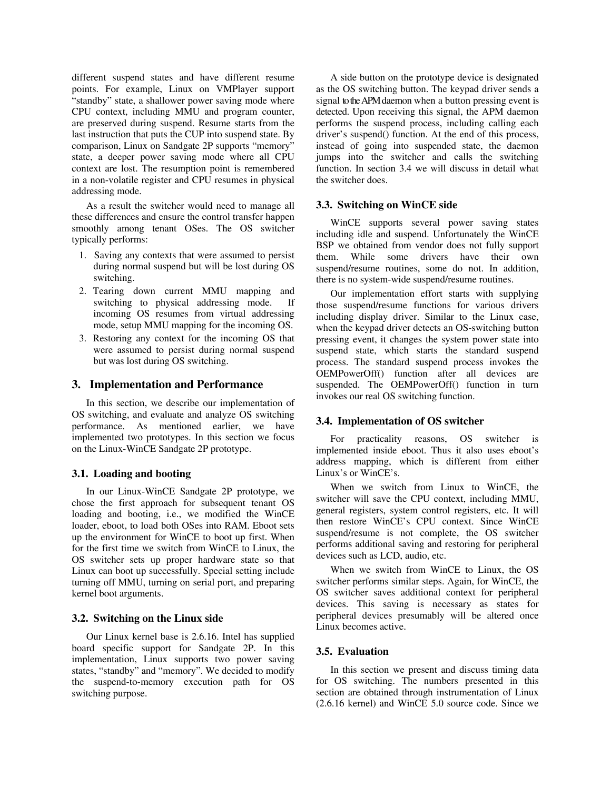different suspend states and have different resume points. For example, Linux on VMPlayer support "standby" state, a shallower power saving mode where CPU context, including MMU and program counter, are preserved during suspend. Resume starts from the last instruction that puts the CUP into suspend state. By comparison, Linux on Sandgate 2P supports "memory" state, a deeper power saving mode where all CPU context are lost. The resumption point is remembered in a non-volatile register and CPU resumes in physical addressing mode.

As a result the switcher would need to manage all these differences and ensure the control transfer happen smoothly among tenant OSes. The OS switcher typically performs:

- 1. Saving any contexts that were assumed to persist during normal suspend but will be lost during OS switching.
- 2. Tearing down current MMU mapping and switching to physical addressing mode. If incoming OS resumes from virtual addressing mode, setup MMU mapping for the incoming OS.
- 3. Restoring any context for the incoming OS that were assumed to persist during normal suspend but was lost during OS switching.

# **3. Implementation and Performance**

In this section, we describe our implementation of OS switching, and evaluate and analyze OS switching performance. As mentioned earlier, we have implemented two prototypes. In this section we focus on the Linux-WinCE Sandgate 2P prototype.

### **3.1. Loading and booting**

In our Linux-WinCE Sandgate 2P prototype, we chose the first approach for subsequent tenant OS loading and booting, i.e., we modified the WinCE loader, eboot, to load both OSes into RAM. Eboot sets up the environment for WinCE to boot up first. When for the first time we switch from WinCE to Linux, the OS switcher sets up proper hardware state so that Linux can boot up successfully. Special setting include turning off MMU, turning on serial port, and preparing kernel boot arguments.

# **3.2. Switching on the Linux side**

Our Linux kernel base is 2.6.16. Intel has supplied board specific support for Sandgate 2P. In this implementation, Linux supports two power saving states, "standby" and "memory". We decided to modify the suspend-to-memory execution path for OS switching purpose.

A side button on the prototype device is designated as the OS switching button. The keypad driver sends a signal to the APM daemon when a button pressing event is detected. Upon receiving this signal, the APM daemon performs the suspend process, including calling each driver's suspend() function. At the end of this process, instead of going into suspended state, the daemon jumps into the switcher and calls the switching function. In section 3.4 we will discuss in detail what the switcher does.

### **3.3. Switching on WinCE side**

WinCE supports several power saving states including idle and suspend. Unfortunately the WinCE BSP we obtained from vendor does not fully support them. While some drivers have their own suspend/resume routines, some do not. In addition, there is no system-wide suspend/resume routines.

Our implementation effort starts with supplying those suspend/resume functions for various drivers including display driver. Similar to the Linux case, when the keypad driver detects an OS-switching button pressing event, it changes the system power state into suspend state, which starts the standard suspend process. The standard suspend process invokes the OEMPowerOff() function after all devices are suspended. The OEMPowerOff() function in turn invokes our real OS switching function.

### **3.4. Implementation of OS switcher**

For practicality reasons, OS switcher is implemented inside eboot. Thus it also uses eboot's address mapping, which is different from either Linux's or WinCE's.

When we switch from Linux to WinCE, the switcher will save the CPU context, including MMU, general registers, system control registers, etc. It will then restore WinCE's CPU context. Since WinCE suspend/resume is not complete, the OS switcher performs additional saving and restoring for peripheral devices such as LCD, audio, etc.

When we switch from WinCE to Linux, the OS switcher performs similar steps. Again, for WinCE, the OS switcher saves additional context for peripheral devices. This saving is necessary as states for peripheral devices presumably will be altered once Linux becomes active.

### **3.5. Evaluation**

In this section we present and discuss timing data for OS switching. The numbers presented in this section are obtained through instrumentation of Linux (2.6.16 kernel) and WinCE 5.0 source code. Since we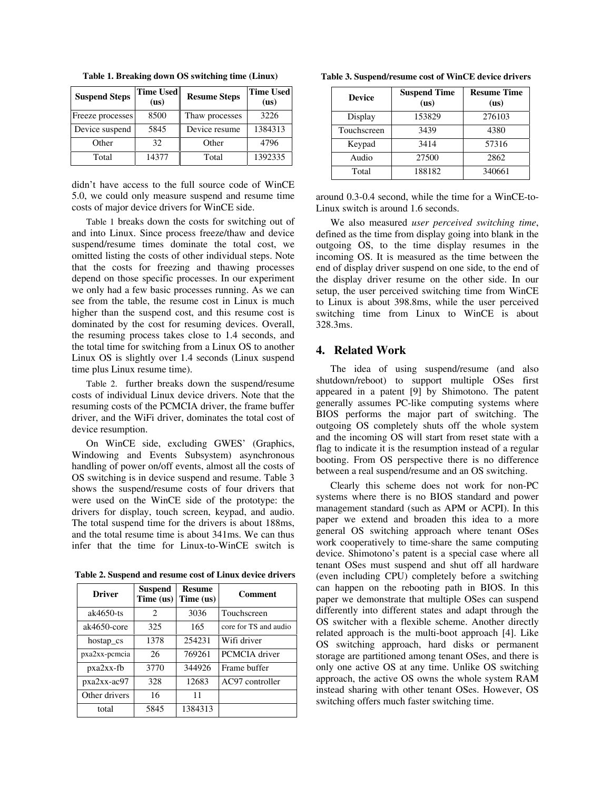| <b>Suspend Steps</b> | <b>Time Used</b><br>(us) | <b>Resume Steps</b> | <b>Time Used</b><br>(us) |
|----------------------|--------------------------|---------------------|--------------------------|
| Freeze processes     | 8500                     | Thaw processes      | 3226                     |
| Device suspend       | 5845                     | Device resume       | 1384313                  |
| Other                | 32                       | Other               | 4796                     |
| Total                | 14377                    | Total               | 1392335                  |

**Table 1. Breaking down OS switching time (Linux)** 

didn't have access to the full source code of WinCE 5.0, we could only measure suspend and resume time costs of major device drivers for WinCE side.

Table 1 breaks down the costs for switching out of and into Linux. Since process freeze/thaw and device suspend/resume times dominate the total cost, we omitted listing the costs of other individual steps. Note that the costs for freezing and thawing processes depend on those specific processes. In our experiment we only had a few basic processes running. As we can see from the table, the resume cost in Linux is much higher than the suspend cost, and this resume cost is dominated by the cost for resuming devices. Overall, the resuming process takes close to 1.4 seconds, and the total time for switching from a Linux OS to another Linux OS is slightly over 1.4 seconds (Linux suspend time plus Linux resume time).

Table 2. further breaks down the suspend/resume costs of individual Linux device drivers. Note that the resuming costs of the PCMCIA driver, the frame buffer driver, and the WiFi driver, dominates the total cost of device resumption.

On WinCE side, excluding GWES' (Graphics, Windowing and Events Subsystem) asynchronous handling of power on/off events, almost all the costs of OS switching is in device suspend and resume. Table 3 shows the suspend/resume costs of four drivers that were used on the WinCE side of the prototype: the drivers for display, touch screen, keypad, and audio. The total suspend time for the drivers is about 188ms, and the total resume time is about 341ms. We can thus infer that the time for Linux-to-WinCE switch is

**Table 2. Suspend and resume cost of Linux device drivers**

| <b>Driver</b>    | <b>Suspend</b><br>Time (us) | <b>Resume</b><br>Time (us) | Comment               |
|------------------|-----------------------------|----------------------------|-----------------------|
| $ak4650$ -ts     | $\mathcal{D}_{\mathcal{L}}$ | 3036                       | Touchscreen           |
| $ak4650$ -core   | 325                         | 165                        | core for TS and audio |
| hostap_cs        | 1378                        | 254231                     | Wifi driver           |
| $pxa2xx$ -pcmcia | 26                          | 769261                     | PCMCIA driver         |
| $pxa2xx-fb$      | 3770                        | 344926                     | Frame buffer          |
| $pxa2xx-ac97$    | 328                         | 12683                      | AC97 controller       |
| Other drivers    | 16                          | 11                         |                       |
| total            | 5845                        | 1384313                    |                       |

**Table 3. Suspend/resume cost of WinCE device drivers**

| <b>Device</b> | <b>Suspend Time</b><br>(us) | <b>Resume Time</b><br>(us) |
|---------------|-----------------------------|----------------------------|
| Display       | 153829                      | 276103                     |
| Touchscreen   | 3439                        | 4380                       |
| Keypad        | 3414                        | 57316                      |
| Audio         | 27500                       | 2862                       |
| Total         | 188182                      | 340661                     |

around 0.3-0.4 second, while the time for a WinCE-to-Linux switch is around 1.6 seconds.

We also measured *user perceived switching time*, defined as the time from display going into blank in the outgoing OS, to the time display resumes in the incoming OS. It is measured as the time between the end of display driver suspend on one side, to the end of the display driver resume on the other side. In our setup, the user perceived switching time from WinCE to Linux is about 398.8ms, while the user perceived switching time from Linux to WinCE is about 328.3ms.

# **4. Related Work**

The idea of using suspend/resume (and also shutdown/reboot) to support multiple OSes first appeared in a patent [9] by Shimotono. The patent generally assumes PC-like computing systems where BIOS performs the major part of switching. The outgoing OS completely shuts off the whole system and the incoming OS will start from reset state with a flag to indicate it is the resumption instead of a regular booting. From OS perspective there is no difference between a real suspend/resume and an OS switching.

Clearly this scheme does not work for non-PC systems where there is no BIOS standard and power management standard (such as APM or ACPI). In this paper we extend and broaden this idea to a more general OS switching approach where tenant OSes work cooperatively to time-share the same computing device. Shimotono's patent is a special case where all tenant OSes must suspend and shut off all hardware (even including CPU) completely before a switching can happen on the rebooting path in BIOS. In this paper we demonstrate that multiple OSes can suspend differently into different states and adapt through the OS switcher with a flexible scheme. Another directly related approach is the multi-boot approach [4]. Like OS switching approach, hard disks or permanent storage are partitioned among tenant OSes, and there is only one active OS at any time. Unlike OS switching approach, the active OS owns the whole system RAM instead sharing with other tenant OSes. However, OS switching offers much faster switching time.